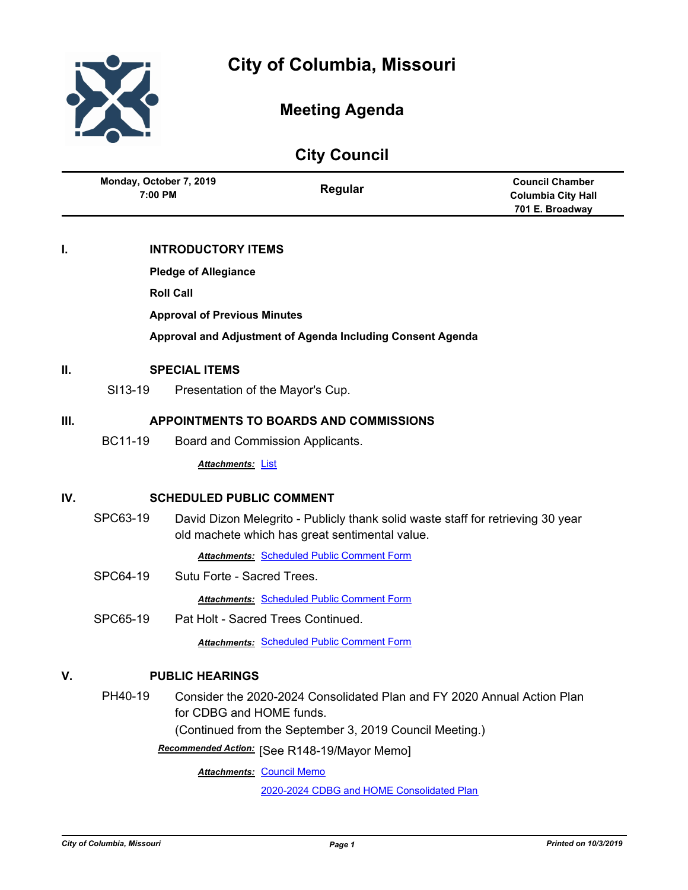



# **Meeting Agenda**

| Monday, October 7, 2019 | <b>Council Chamber</b> |
|-------------------------|------------------------|
| Regular                 | Columbia City Hall     |
| 7:00 PM                 | 701 E. Broadway        |

## **I. INTRODUCTORY ITEMS**

**Pledge of Allegiance**

**Roll Call**

**Approval of Previous Minutes**

**Approval and Adjustment of Agenda Including Consent Agenda**

## **II. SPECIAL ITEMS**

SI13-19 Presentation of the Mayor's Cup.

## **III. APPOINTMENTS TO BOARDS AND COMMISSIONS**

BC11-19 Board and Commission Applicants.

*Attachments:* [List](http://gocolumbiamo.legistar.com/gateway.aspx?M=F&ID=9bdb8970-d394-44d4-a5b8-7008083703e3.pdf)

## **IV. SCHEDULED PUBLIC COMMENT**

SPC63-19 David Dizon Melegrito - Publicly thank solid waste staff for retrieving 30 year old machete which has great sentimental value.

*Attachments:* [Scheduled Public Comment Form](http://gocolumbiamo.legistar.com/gateway.aspx?M=F&ID=08fbc384-5d82-49bc-9a4f-bff560fe297a.pdf)

- SPC64-19 Sutu Forte Sacred Trees. *Attachments:* [Scheduled Public Comment Form](http://gocolumbiamo.legistar.com/gateway.aspx?M=F&ID=e78a67df-fac4-4513-a2b3-78a66b8790a7.pdf)
- SPC65-19 Pat Holt Sacred Trees Continued.

## *Attachments:* [Scheduled Public Comment Form](http://gocolumbiamo.legistar.com/gateway.aspx?M=F&ID=bb3f7444-5c7d-4c6d-a5b1-c10672d08055.pdf)

## **V. PUBLIC HEARINGS**

PH40-19 Consider the 2020-2024 Consolidated Plan and FY 2020 Annual Action Plan for CDBG and HOME funds.

(Continued from the September 3, 2019 Council Meeting.)

[See R148-19/Mayor Memo] *Recommended Action:*

**Attachments: [Council Memo](http://gocolumbiamo.legistar.com/gateway.aspx?M=F&ID=11365a6c-1053-4b74-88d2-adcd8f4563bc.docx)** 

[2020-2024 CDBG and HOME Consolidated Plan](http://gocolumbiamo.legistar.com/gateway.aspx?M=F&ID=b4cd39d8-09a2-4e1e-bd7e-1c843f9d1224.pdf)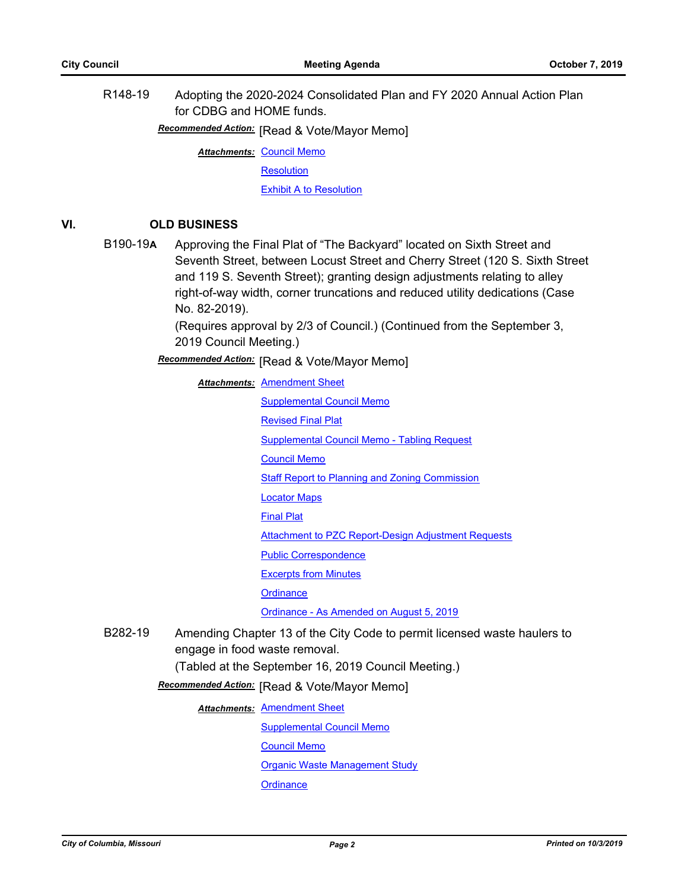R148-19 Adopting the 2020-2024 Consolidated Plan and FY 2020 Annual Action Plan for CDBG and HOME funds.

**Recommended Action:** [Read & Vote/Mayor Memo]

**Attachments: [Council Memo](http://gocolumbiamo.legistar.com/gateway.aspx?M=F&ID=68089d09-428f-4166-8d4a-da8758ab0f56.docx)** 

**[Resolution](http://gocolumbiamo.legistar.com/gateway.aspx?M=F&ID=5639e558-c6f4-4420-a676-61da75b0ba03.doc)** 

[Exhibit A to Resolution](http://gocolumbiamo.legistar.com/gateway.aspx?M=F&ID=ccfd5130-9736-4186-bf81-d94fc58b23ac.pdf)

## **VI. OLD BUSINESS**

B190-19**A** Approving the Final Plat of "The Backyard" located on Sixth Street and Seventh Street, between Locust Street and Cherry Street (120 S. Sixth Street and 119 S. Seventh Street); granting design adjustments relating to alley right-of-way width, corner truncations and reduced utility dedications (Case No. 82-2019).

> (Requires approval by 2/3 of Council.) (Continued from the September 3, 2019 Council Meeting.)

**Recommended Action:** [Read & Vote/Mayor Memo]

**Attachments: [Amendment Sheet](http://gocolumbiamo.legistar.com/gateway.aspx?M=F&ID=23f98887-36d2-4e2f-8bf8-e2957e335673.doc)** 

- [Supplemental Council Memo](http://gocolumbiamo.legistar.com/gateway.aspx?M=F&ID=56748a80-143e-4f5e-b8ac-099e3c13161a.docx) [Revised Final Plat](http://gocolumbiamo.legistar.com/gateway.aspx?M=F&ID=4390d407-2471-42a6-8a22-1404bacd4e84.pdf) [Supplemental Council Memo - Tabling Request](http://gocolumbiamo.legistar.com/gateway.aspx?M=F&ID=31390083-cea3-4908-86fd-f2e034a7364a.pdf) [Council Memo](http://gocolumbiamo.legistar.com/gateway.aspx?M=F&ID=6f6b22c0-6462-46ee-8cb5-42203378b2f0.docx) [Staff Report to Planning and Zoning Commission](http://gocolumbiamo.legistar.com/gateway.aspx?M=F&ID=0a011d09-0b98-43e4-99e3-f8e16b03644b.pdf) [Locator Maps](http://gocolumbiamo.legistar.com/gateway.aspx?M=F&ID=beb0a0d0-56e5-4fa6-8614-582c58eab710.pdf) [Final Plat](http://gocolumbiamo.legistar.com/gateway.aspx?M=F&ID=34219524-7e3f-4d14-b2d1-1da9f38c2ecc.pdf) [Attachment to PZC Report-Design Adjustment Requests](http://gocolumbiamo.legistar.com/gateway.aspx?M=F&ID=7c824ce8-42db-4d57-bfea-29563731a4cd.pdf) [Public Correspondence](http://gocolumbiamo.legistar.com/gateway.aspx?M=F&ID=688ae117-30e2-4577-8aec-d51dea4c28ae.pdf) [Excerpts from Minutes](http://gocolumbiamo.legistar.com/gateway.aspx?M=F&ID=b8741bbd-2750-457b-8ea2-1f78cab1399b.pdf) **[Ordinance](http://gocolumbiamo.legistar.com/gateway.aspx?M=F&ID=579d7a76-4e64-4061-a9bc-b0c487fecf64.doc)** [Ordinance - As Amended on August 5, 2019](http://gocolumbiamo.legistar.com/gateway.aspx?M=F&ID=c4800e01-ad37-4214-a5ba-7a8f6b87ab6f.doc)
- B282-19 Amending Chapter 13 of the City Code to permit licensed waste haulers to engage in food waste removal.

(Tabled at the September 16, 2019 Council Meeting.)

**Recommended Action:** [Read & Vote/Mayor Memo]

**Attachments: [Amendment Sheet](http://gocolumbiamo.legistar.com/gateway.aspx?M=F&ID=ee16cb22-af6e-4ff0-8e6e-596818237704.doc)** 

[Supplemental Council Memo](http://gocolumbiamo.legistar.com/gateway.aspx?M=F&ID=024ac260-d548-4c79-86da-43f5074ddff1.docx) [Council Memo](http://gocolumbiamo.legistar.com/gateway.aspx?M=F&ID=dfbae9ef-2a99-456a-9c19-a490716d4e40.docx)

[Organic Waste Management Study](http://gocolumbiamo.legistar.com/gateway.aspx?M=F&ID=1933dc65-5d3a-4b72-b3a9-55516966d617.pdf)

**[Ordinance](http://gocolumbiamo.legistar.com/gateway.aspx?M=F&ID=95adef51-456b-4800-a8f7-aa971e980f2f.doc)**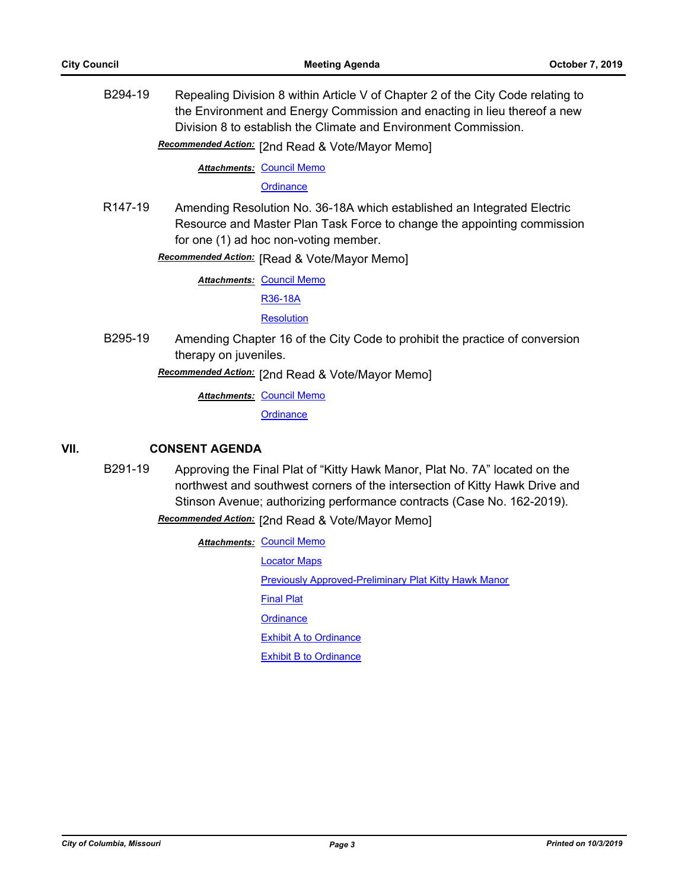B294-19 Repealing Division 8 within Article V of Chapter 2 of the City Code relating to the Environment and Energy Commission and enacting in lieu thereof a new Division 8 to establish the Climate and Environment Commission.

Recommended Action: [2nd Read & Vote/Mayor Memo]

**Attachments: [Council Memo](http://gocolumbiamo.legistar.com/gateway.aspx?M=F&ID=2b69a56c-ff17-4e88-82fb-f06bead13216.docx)** 

**[Ordinance](http://gocolumbiamo.legistar.com/gateway.aspx?M=F&ID=44260be1-2b4c-4399-b9f4-bc766acc56ca.doc)** 

R147-19 Amending Resolution No. 36-18A which established an Integrated Electric Resource and Master Plan Task Force to change the appointing commission for one (1) ad hoc non-voting member.

**Recommended Action:** [Read & Vote/Mayor Memo]

**Attachments: [Council Memo](http://gocolumbiamo.legistar.com/gateway.aspx?M=F&ID=91121dca-f61b-4d30-ac16-f9b227618fe4.docx)** 

[R36-18A](http://gocolumbiamo.legistar.com/gateway.aspx?M=F&ID=445f5700-adc1-4f1f-b0d5-df546aae720f.pdf)

**[Resolution](http://gocolumbiamo.legistar.com/gateway.aspx?M=F&ID=c8dc885c-01be-4a80-b246-5b09c35b983f.doc)** 

B295-19 Amending Chapter 16 of the City Code to prohibit the practice of conversion therapy on juveniles.

Recommended Action: [2nd Read & Vote/Mayor Memo]

**Attachments: [Council Memo](http://gocolumbiamo.legistar.com/gateway.aspx?M=F&ID=74780205-dedc-4706-894d-5d92e6cf3474.docx)** 

**[Ordinance](http://gocolumbiamo.legistar.com/gateway.aspx?M=F&ID=5aac4ba2-f516-4df6-aaf2-52101daed135.doc)** 

## **VII. CONSENT AGENDA**

B291-19 Approving the Final Plat of "Kitty Hawk Manor, Plat No. 7A" located on the northwest and southwest corners of the intersection of Kitty Hawk Drive and Stinson Avenue; authorizing performance contracts (Case No. 162-2019).

Recommended Action: [2nd Read & Vote/Mayor Memo]

**Attachments: [Council Memo](http://gocolumbiamo.legistar.com/gateway.aspx?M=F&ID=35d11264-b1ce-42d4-9886-dc04f720073a.docx)** [Locator Maps](http://gocolumbiamo.legistar.com/gateway.aspx?M=F&ID=871fe95a-9e79-47f6-ad77-42cae1f02791.pdf) [Previously Approved-Preliminary Plat Kitty Hawk Manor](http://gocolumbiamo.legistar.com/gateway.aspx?M=F&ID=f067eeb0-71f5-44fb-8ae1-8cbf13d0c3ff.pdf) [Final Plat](http://gocolumbiamo.legistar.com/gateway.aspx?M=F&ID=2737bb13-d39c-4904-819e-7d40b82b7694.pdf) **[Ordinance](http://gocolumbiamo.legistar.com/gateway.aspx?M=F&ID=bce61bd8-d5fb-420f-83a4-80f38b872844.doc)** [Exhibit A to Ordinance](http://gocolumbiamo.legistar.com/gateway.aspx?M=F&ID=8504a1f2-3f2e-4f17-ac30-ead312462bbe.pdf) [Exhibit B to Ordinance](http://gocolumbiamo.legistar.com/gateway.aspx?M=F&ID=855f5cbe-ca09-4963-8fb9-e9e8aaca1789.pdf)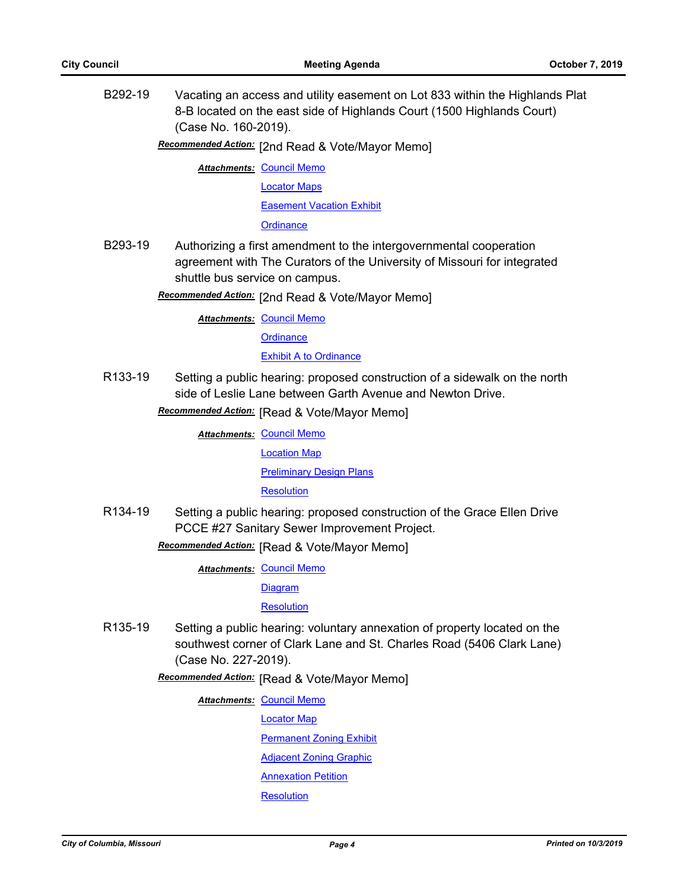B292-19 Vacating an access and utility easement on Lot 833 within the Highlands Plat 8-B located on the east side of Highlands Court (1500 Highlands Court) (Case No. 160-2019).

Recommended Action: [2nd Read & Vote/Mayor Memo]

**Attachments: [Council Memo](http://gocolumbiamo.legistar.com/gateway.aspx?M=F&ID=6c5232c4-64cd-4ff1-88ba-698f8f7b612c.docx)** 

[Locator Maps](http://gocolumbiamo.legistar.com/gateway.aspx?M=F&ID=5231fff8-0637-49dc-8864-5ce231a872c0.pdf)

[Easement Vacation Exhibit](http://gocolumbiamo.legistar.com/gateway.aspx?M=F&ID=a96d2b85-e369-4ddc-8154-c5458eb3f316.pdf)

**[Ordinance](http://gocolumbiamo.legistar.com/gateway.aspx?M=F&ID=aaf50239-760d-432d-a644-0f04f0f6ca07.doc)** 

B293-19 Authorizing a first amendment to the intergovernmental cooperation agreement with The Curators of the University of Missouri for integrated shuttle bus service on campus.

**Recommended Action:** [2nd Read & Vote/Mayor Memo]

**Attachments: [Council Memo](http://gocolumbiamo.legistar.com/gateway.aspx?M=F&ID=f68bc063-965f-4113-b0fd-1cf84a38c67c.docx)** 

**[Ordinance](http://gocolumbiamo.legistar.com/gateway.aspx?M=F&ID=86f1abd4-d036-4973-bf94-7c4ece8fd988.doc)** 

[Exhibit A to Ordinance](http://gocolumbiamo.legistar.com/gateway.aspx?M=F&ID=7d9ce59b-edf2-4ff7-bb49-b0983141b592.pdf)

R133-19 Setting a public hearing: proposed construction of a sidewalk on the north side of Leslie Lane between Garth Avenue and Newton Drive.

**Recommended Action:** [Read & Vote/Mayor Memo]

**Attachments: [Council Memo](http://gocolumbiamo.legistar.com/gateway.aspx?M=F&ID=c3aa86a4-c822-4b00-867a-c39a7ee46a8f.docx)** [Location Map](http://gocolumbiamo.legistar.com/gateway.aspx?M=F&ID=143247fb-e6d7-4553-a5be-ca6af86a94f0.pdf)

[Preliminary Design Plans](http://gocolumbiamo.legistar.com/gateway.aspx?M=F&ID=85b72ed0-cf3f-4f6b-a4e6-8401698fdcf2.pdf)

**[Resolution](http://gocolumbiamo.legistar.com/gateway.aspx?M=F&ID=60f1f431-3831-47de-bba4-2c939c8c989b.doc)** 

R134-19 Setting a public hearing: proposed construction of the Grace Ellen Drive PCCE #27 Sanitary Sewer Improvement Project.

**Recommended Action:** [Read & Vote/Mayor Memo]

**Attachments: [Council Memo](http://gocolumbiamo.legistar.com/gateway.aspx?M=F&ID=ffe3763a-d040-4c2d-bab4-2e928386cc75.docx)** 

[Diagram](http://gocolumbiamo.legistar.com/gateway.aspx?M=F&ID=5e28de9a-e291-4a85-91b1-abfccf9650c6.pdf)

**[Resolution](http://gocolumbiamo.legistar.com/gateway.aspx?M=F&ID=9d1203ed-afea-4231-af83-e0ff53363d3c.doc)** 

R135-19 Setting a public hearing: voluntary annexation of property located on the southwest corner of Clark Lane and St. Charles Road (5406 Clark Lane) (Case No. 227-2019).

**Recommended Action:** [Read & Vote/Mayor Memo]

**Attachments: [Council Memo](http://gocolumbiamo.legistar.com/gateway.aspx?M=F&ID=70da594b-4010-4621-be22-549b0c037f1d.docx)** 

[Locator Map](http://gocolumbiamo.legistar.com/gateway.aspx?M=F&ID=2c0367c1-08be-48c0-99a5-69b173df1160.pdf)

[Permanent Zoning Exhibit](http://gocolumbiamo.legistar.com/gateway.aspx?M=F&ID=afa7300e-4315-4e11-9984-f4ebd9fee692.pdf)

[Adjacent Zoning Graphic](http://gocolumbiamo.legistar.com/gateway.aspx?M=F&ID=37b1ebc5-1339-42d4-a795-73ee39d90b71.pdf)

[Annexation Petition](http://gocolumbiamo.legistar.com/gateway.aspx?M=F&ID=41370e5b-c420-4e29-9759-6835352d1b2f.pdf)

**[Resolution](http://gocolumbiamo.legistar.com/gateway.aspx?M=F&ID=2da0dc30-3c34-4b34-b47d-8bfa521612ab.doc)**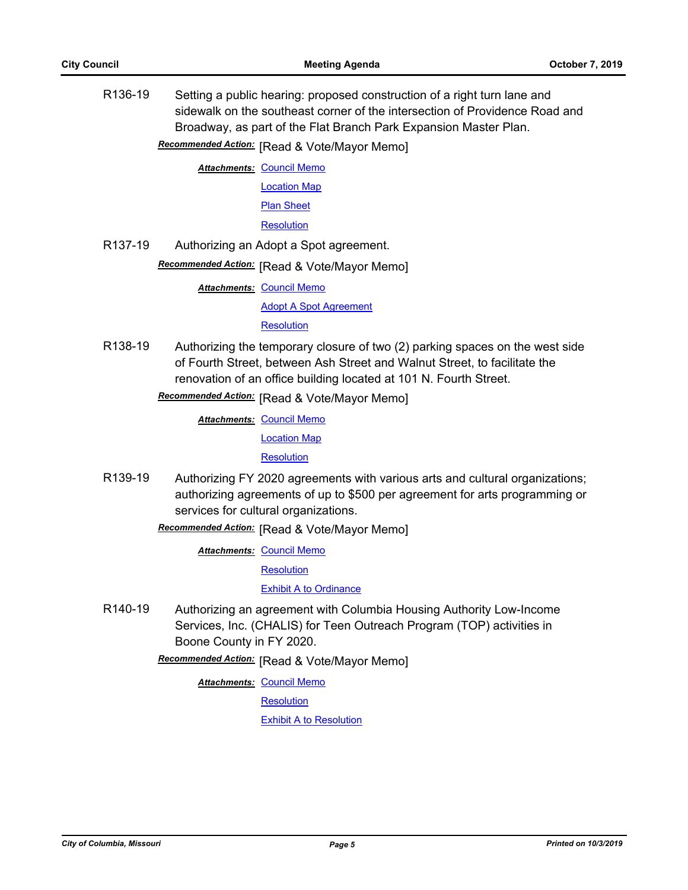R136-19 Setting a public hearing: proposed construction of a right turn lane and sidewalk on the southeast corner of the intersection of Providence Road and Broadway, as part of the Flat Branch Park Expansion Master Plan.

**Recommended Action:** [Read & Vote/Mayor Memo]

**Attachments: [Council Memo](http://gocolumbiamo.legistar.com/gateway.aspx?M=F&ID=2dd5c2ce-5547-44ea-bfd5-ce9921da33c0.docx)** 

[Location Map](http://gocolumbiamo.legistar.com/gateway.aspx?M=F&ID=c484c279-7478-41cd-bdaf-270cf7d45052.pdf) [Plan Sheet](http://gocolumbiamo.legistar.com/gateway.aspx?M=F&ID=9b26262a-115a-43da-9965-d6728fb04a61.pdf)

**[Resolution](http://gocolumbiamo.legistar.com/gateway.aspx?M=F&ID=014f2daf-b3a3-4537-b4ad-6fa84612e10d.doc)** 

R137-19 Authorizing an Adopt a Spot agreement.

**Recommended Action:** [Read & Vote/Mayor Memo]

**Attachments: [Council Memo](http://gocolumbiamo.legistar.com/gateway.aspx?M=F&ID=4fc5b86d-0588-456c-b6b5-c8f201337b92.docx)** 

[Adopt A Spot Agreement](http://gocolumbiamo.legistar.com/gateway.aspx?M=F&ID=0fad0ff1-7e40-45ab-9483-06be3b1b74d7.pdf)

**[Resolution](http://gocolumbiamo.legistar.com/gateway.aspx?M=F&ID=ddbcac96-35d1-4049-8eb2-3618c11f9806.doc)** 

R138-19 Authorizing the temporary closure of two (2) parking spaces on the west side of Fourth Street, between Ash Street and Walnut Street, to facilitate the renovation of an office building located at 101 N. Fourth Street.

**Recommended Action:** [Read & Vote/Mayor Memo]

**Attachments: [Council Memo](http://gocolumbiamo.legistar.com/gateway.aspx?M=F&ID=1abdacd4-4f6a-42d1-a320-9bbcb9547bb5.docx)** 

[Location Map](http://gocolumbiamo.legistar.com/gateway.aspx?M=F&ID=7e72d923-e146-47e6-80cd-6a9c42446a53.pdf)

**[Resolution](http://gocolumbiamo.legistar.com/gateway.aspx?M=F&ID=6e93dda8-8ffc-4975-a8e1-3b70f8dac808.doc)** 

R139-19 Authorizing FY 2020 agreements with various arts and cultural organizations; authorizing agreements of up to \$500 per agreement for arts programming or services for cultural organizations.

**Recommended Action:** [Read & Vote/Mayor Memo]

**Attachments: [Council Memo](http://gocolumbiamo.legistar.com/gateway.aspx?M=F&ID=6f4264f0-0484-454e-850f-bc4cf174160e.docx)** 

**[Resolution](http://gocolumbiamo.legistar.com/gateway.aspx?M=F&ID=e9e28090-6b1a-42a4-90ba-eff5cd87a51b.doc)** 

[Exhibit A to Ordinance](http://gocolumbiamo.legistar.com/gateway.aspx?M=F&ID=2ebf8d59-9a6f-4f40-819b-d6d9582e5c28.pdf)

R140-19 Authorizing an agreement with Columbia Housing Authority Low-Income Services, Inc. (CHALIS) for Teen Outreach Program (TOP) activities in Boone County in FY 2020.

**Recommended Action:** [Read & Vote/Mayor Memo]

**Attachments: [Council Memo](http://gocolumbiamo.legistar.com/gateway.aspx?M=F&ID=5094e602-ebfe-46a5-9a4e-386bd508e2ab.docx)** 

**[Resolution](http://gocolumbiamo.legistar.com/gateway.aspx?M=F&ID=65077ecf-f731-409a-bbb4-ef7b5b3dc2dd.doc)** 

[Exhibit A to Resolution](http://gocolumbiamo.legistar.com/gateway.aspx?M=F&ID=6ec2a41a-1f80-4026-9ac0-c4b6958c7302.pdf)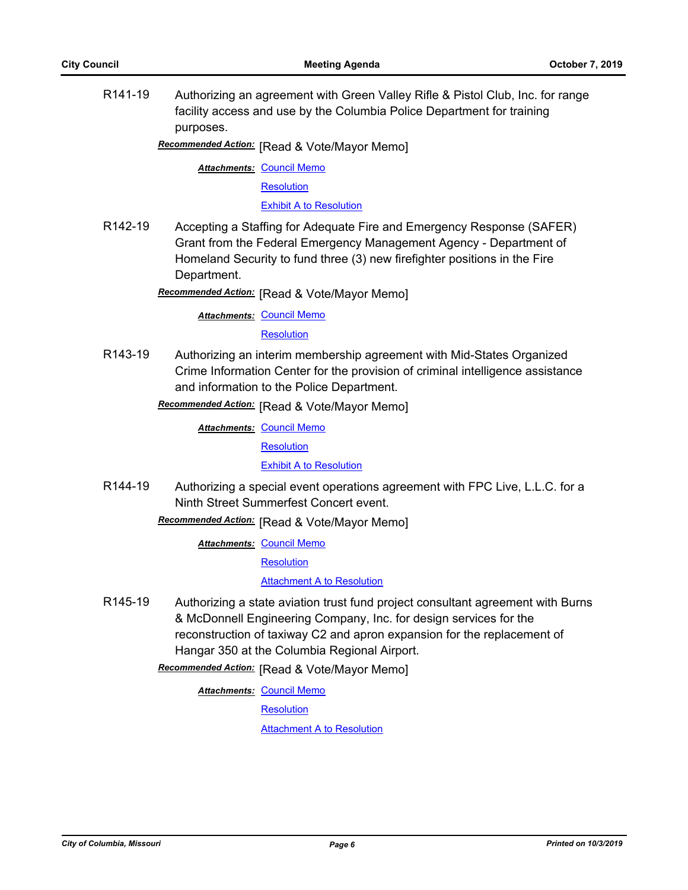R141-19 Authorizing an agreement with Green Valley Rifle & Pistol Club, Inc. for range facility access and use by the Columbia Police Department for training purposes.

**Recommended Action:** [Read & Vote/Mayor Memo]

**Attachments: [Council Memo](http://gocolumbiamo.legistar.com/gateway.aspx?M=F&ID=7f4ce817-ea1f-48ed-912b-10c725cf1f8e.docx)** 

**[Resolution](http://gocolumbiamo.legistar.com/gateway.aspx?M=F&ID=2b5b7f48-5adc-456d-aef2-52852c5ca29e.doc)** 

[Exhibit A to Resolution](http://gocolumbiamo.legistar.com/gateway.aspx?M=F&ID=78b2514d-7629-473d-9cae-317151505f28.pdf)

R142-19 Accepting a Staffing for Adequate Fire and Emergency Response (SAFER) Grant from the Federal Emergency Management Agency - Department of Homeland Security to fund three (3) new firefighter positions in the Fire Department.

**Recommended Action:** [Read & Vote/Mayor Memo]

**Attachments: [Council Memo](http://gocolumbiamo.legistar.com/gateway.aspx?M=F&ID=c77f2204-8996-4c0d-840f-b68821795899.docx)** 

**[Resolution](http://gocolumbiamo.legistar.com/gateway.aspx?M=F&ID=05fb2897-aada-4793-8837-62f0192a9abf.doc)** 

R143-19 Authorizing an interim membership agreement with Mid-States Organized Crime Information Center for the provision of criminal intelligence assistance and information to the Police Department.

**Recommended Action:** [Read & Vote/Mayor Memo]

**Attachments: [Council Memo](http://gocolumbiamo.legistar.com/gateway.aspx?M=F&ID=6222c85c-1a11-441c-873c-7eed32b37c31.docx) [Resolution](http://gocolumbiamo.legistar.com/gateway.aspx?M=F&ID=f41aea28-07fd-49d5-ad6c-9939751e5586.doc)** [Exhibit A to Resolution](http://gocolumbiamo.legistar.com/gateway.aspx?M=F&ID=9b50bb0d-8079-47f4-b107-c7c5f692c3d0.pdf)

R144-19 Authorizing a special event operations agreement with FPC Live, L.L.C. for a Ninth Street Summerfest Concert event.

**Recommended Action:** [Read & Vote/Mayor Memo]

**Attachments: [Council Memo](http://gocolumbiamo.legistar.com/gateway.aspx?M=F&ID=4e07414f-63ff-40ef-89a8-3fc3f89effe9.docx)** 

**[Resolution](http://gocolumbiamo.legistar.com/gateway.aspx?M=F&ID=8b7d55b1-c42a-4fa0-b784-949f0bc61508.doc)** 

#### [Attachment A to Resolution](http://gocolumbiamo.legistar.com/gateway.aspx?M=F&ID=2f175655-4495-451c-803e-abe5edc90b7d.pdf)

R145-19 Authorizing a state aviation trust fund project consultant agreement with Burns & McDonnell Engineering Company, Inc. for design services for the reconstruction of taxiway C2 and apron expansion for the replacement of Hangar 350 at the Columbia Regional Airport.

**Recommended Action:** [Read & Vote/Mayor Memo]

**Attachments: [Council Memo](http://gocolumbiamo.legistar.com/gateway.aspx?M=F&ID=2d81cdb9-d430-435c-a367-8e88c88862f3.docx)** 

**[Resolution](http://gocolumbiamo.legistar.com/gateway.aspx?M=F&ID=183d932c-600a-42c8-92ca-adb5bc648d7e.doc)** 

[Attachment A to Resolution](http://gocolumbiamo.legistar.com/gateway.aspx?M=F&ID=1a3c22a5-209e-4aac-813d-81ab96bde2d2.pdf)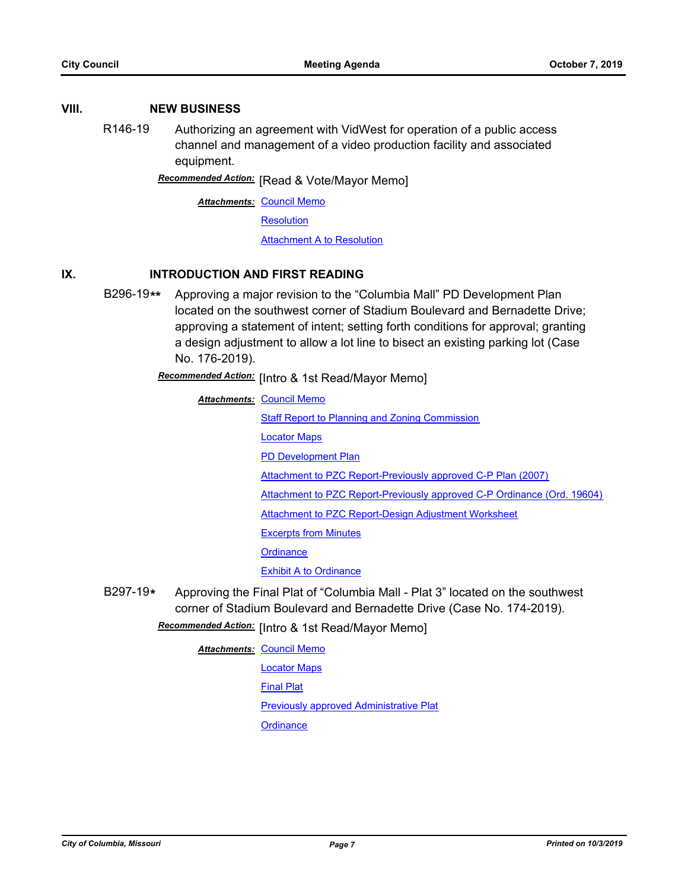#### **VIII. NEW BUSINESS**

R146-19 Authorizing an agreement with VidWest for operation of a public access channel and management of a video production facility and associated equipment.

**Recommended Action:** [Read & Vote/Mayor Memo]

**Attachments: [Council Memo](http://gocolumbiamo.legistar.com/gateway.aspx?M=F&ID=ceb5b3cc-2f63-4fa0-ba1b-7a40f599ec37.docx)** 

**[Resolution](http://gocolumbiamo.legistar.com/gateway.aspx?M=F&ID=522d9c08-a3d7-44bc-9265-ba24069b8e1d.doc)** 

[Attachment A to Resolution](http://gocolumbiamo.legistar.com/gateway.aspx?M=F&ID=0522a473-1d9b-49ba-be28-446db96735c2.pdf)

## **IX. INTRODUCTION AND FIRST READING**

B296-19**\*\*** Approving a major revision to the "Columbia Mall" PD Development Plan located on the southwest corner of Stadium Boulevard and Bernadette Drive; approving a statement of intent; setting forth conditions for approval; granting a design adjustment to allow a lot line to bisect an existing parking lot (Case No. 176-2019).

Recommended Action: [Intro & 1st Read/Mayor Memo]

**Attachments: [Council Memo](http://gocolumbiamo.legistar.com/gateway.aspx?M=F&ID=79840d70-c4b7-4716-8ab1-4255ea0d2411.docx)** 

[Staff Report to Planning and Zoning Commission](http://gocolumbiamo.legistar.com/gateway.aspx?M=F&ID=66958f3f-b4fc-4cfa-8440-4ca3697f14bd.docx)

[Locator Maps](http://gocolumbiamo.legistar.com/gateway.aspx?M=F&ID=643c7fd9-7c84-426f-84fe-3be11222654c.pdf)

[PD Development Plan](http://gocolumbiamo.legistar.com/gateway.aspx?M=F&ID=10f73e6d-49a7-46f1-8eba-6ee4468a0fdd.pdf)

[Attachment to PZC Report-Previously approved C-P Plan \(2007\)](http://gocolumbiamo.legistar.com/gateway.aspx?M=F&ID=f0f60815-6a5e-4843-841a-1d2fb72d85f3.pdf)

[Attachment to PZC Report-Previously approved C-P Ordinance \(Ord. 19604\)](http://gocolumbiamo.legistar.com/gateway.aspx?M=F&ID=3a7071f4-b89a-4c33-b8c7-d66e3ab9df5d.pdf)

[Attachment to PZC Report-Design Adjustment Worksheet](http://gocolumbiamo.legistar.com/gateway.aspx?M=F&ID=98c0e0d9-d8d3-4dc8-b5db-eff61c1480aa.pdf)

[Excerpts from Minutes](http://gocolumbiamo.legistar.com/gateway.aspx?M=F&ID=68963e1e-f72a-4c5e-8770-5505fe04ad13.docx)

**[Ordinance](http://gocolumbiamo.legistar.com/gateway.aspx?M=F&ID=025d6f1b-0823-41dc-95bc-258682f3ce75.doc)** 

**[Exhibit A to Ordinance](http://gocolumbiamo.legistar.com/gateway.aspx?M=F&ID=5a2b41ce-6e2a-4ae3-b792-ea48668f3ad0.pdf)** 

B297-19**\*** Approving the Final Plat of "Columbia Mall - Plat 3" located on the southwest corner of Stadium Boulevard and Bernadette Drive (Case No. 174-2019).

## Recommended Action: [Intro & 1st Read/Mayor Memo]

**Attachments: [Council Memo](http://gocolumbiamo.legistar.com/gateway.aspx?M=F&ID=e2291873-14e3-4390-b772-d9b249200a8b.docx)** [Locator Maps](http://gocolumbiamo.legistar.com/gateway.aspx?M=F&ID=926b9446-2128-411b-943c-fc4f23cea4ed.pdf) [Final Plat](http://gocolumbiamo.legistar.com/gateway.aspx?M=F&ID=dc25451a-5f2e-48bc-b3a2-565bf3b7cd3d.pdf) [Previously approved Administrative Plat](http://gocolumbiamo.legistar.com/gateway.aspx?M=F&ID=573eac31-4f7c-4f8f-b0dc-fe5cf3ac7392.pdf) **[Ordinance](http://gocolumbiamo.legistar.com/gateway.aspx?M=F&ID=bfe901ce-d3a0-466e-a5e6-b350cbd0b081.doc)**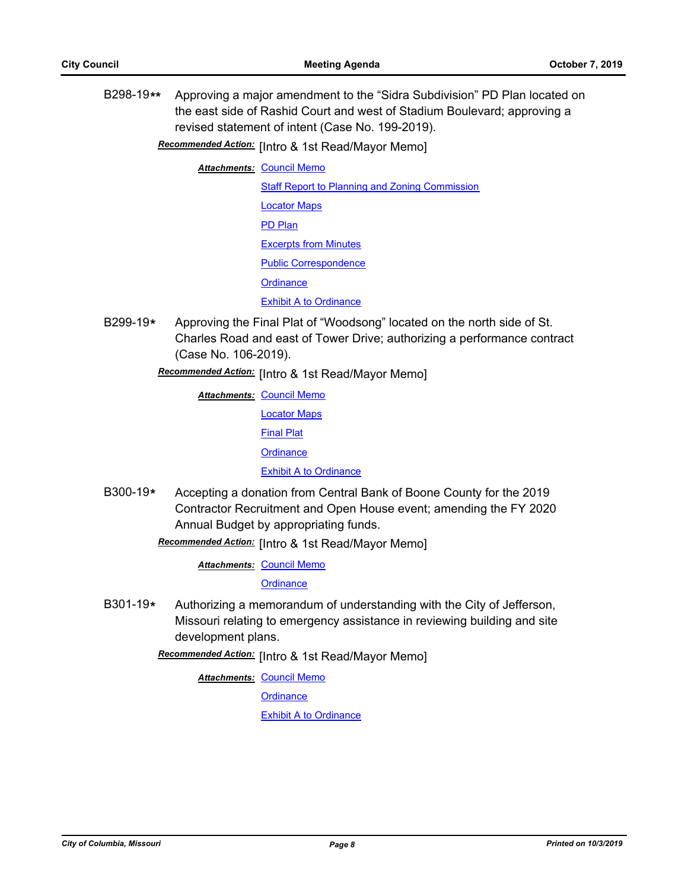B298-19**\*\*** Approving a major amendment to the "Sidra Subdivision" PD Plan located on the east side of Rashid Court and west of Stadium Boulevard; approving a revised statement of intent (Case No. 199-2019).

**Recommended Action:** [Intro & 1st Read/Mayor Memo]

**Attachments: [Council Memo](http://gocolumbiamo.legistar.com/gateway.aspx?M=F&ID=9706fbcd-d8f4-4efd-a8bb-36bc505d84df.docx)** 

[Staff Report to Planning and Zoning Commission](http://gocolumbiamo.legistar.com/gateway.aspx?M=F&ID=4dc0e10b-99fa-4501-8b06-0eab10efdb6a.docx) [Locator Maps](http://gocolumbiamo.legistar.com/gateway.aspx?M=F&ID=012d95d7-e706-4b5b-b4c4-2b0428377e75.pdf) [PD Plan](http://gocolumbiamo.legistar.com/gateway.aspx?M=F&ID=ddfb31ee-08f5-4d93-ae56-426a5802a04c.pdf) [Excerpts from Minutes](http://gocolumbiamo.legistar.com/gateway.aspx?M=F&ID=f490c02e-29f2-4401-92fc-6891838653da.docx) [Public Correspondence](http://gocolumbiamo.legistar.com/gateway.aspx?M=F&ID=af655c9c-a948-4ff9-bd75-542b3e040262.pdf) **[Ordinance](http://gocolumbiamo.legistar.com/gateway.aspx?M=F&ID=4c01b409-6ad2-4744-84d2-7a94ba20b4eb.doc) [Exhibit A to Ordinance](http://gocolumbiamo.legistar.com/gateway.aspx?M=F&ID=95b98f3b-6a93-4a9a-b2d0-48f7b5be9dd2.pdf)** 

B299-19**\*** Approving the Final Plat of "Woodsong" located on the north side of St. Charles Road and east of Tower Drive; authorizing a performance contract (Case No. 106-2019).

**Recommended Action:** [Intro & 1st Read/Mayor Memo]

- **Attachments: [Council Memo](http://gocolumbiamo.legistar.com/gateway.aspx?M=F&ID=bc0483b7-6051-47b1-bbc1-a31593912613.docx)** [Locator Maps](http://gocolumbiamo.legistar.com/gateway.aspx?M=F&ID=b2c610fa-efb4-4e49-8039-38c97705583e.pdf) [Final Plat](http://gocolumbiamo.legistar.com/gateway.aspx?M=F&ID=bed21aa5-8558-4f22-99ff-96c803855169.pdf) **[Ordinance](http://gocolumbiamo.legistar.com/gateway.aspx?M=F&ID=700e83e6-6910-4ba3-96d5-5d9fddee6546.doc)** [Exhibit A to Ordinance](http://gocolumbiamo.legistar.com/gateway.aspx?M=F&ID=c26601da-062e-4c72-bd25-38e6eca2ce8c.pdf)
- B300-19**\*** Accepting a donation from Central Bank of Boone County for the 2019 Contractor Recruitment and Open House event; amending the FY 2020 Annual Budget by appropriating funds.

**Recommended Action:** [Intro & 1st Read/Mayor Memo]

**Attachments: [Council Memo](http://gocolumbiamo.legistar.com/gateway.aspx?M=F&ID=e22c2938-28ff-47f7-84ac-7c65ec67f3ab.docx)** 

**[Ordinance](http://gocolumbiamo.legistar.com/gateway.aspx?M=F&ID=5327eeef-b76f-449a-ad96-fd286951291a.doc)** 

B301-19**\*** Authorizing a memorandum of understanding with the City of Jefferson, Missouri relating to emergency assistance in reviewing building and site development plans.

Recommended Action: [Intro & 1st Read/Mayor Memo]

**Attachments: [Council Memo](http://gocolumbiamo.legistar.com/gateway.aspx?M=F&ID=653fcdbf-8a64-4fab-87fd-12daeeedcd2a.docx)** 

**[Ordinance](http://gocolumbiamo.legistar.com/gateway.aspx?M=F&ID=69448e64-2415-46b2-a455-4de8ca9d594c.doc)** 

[Exhibit A to Ordinance](http://gocolumbiamo.legistar.com/gateway.aspx?M=F&ID=2f34e66f-b6bd-4338-9938-95d55a1e2427.pdf)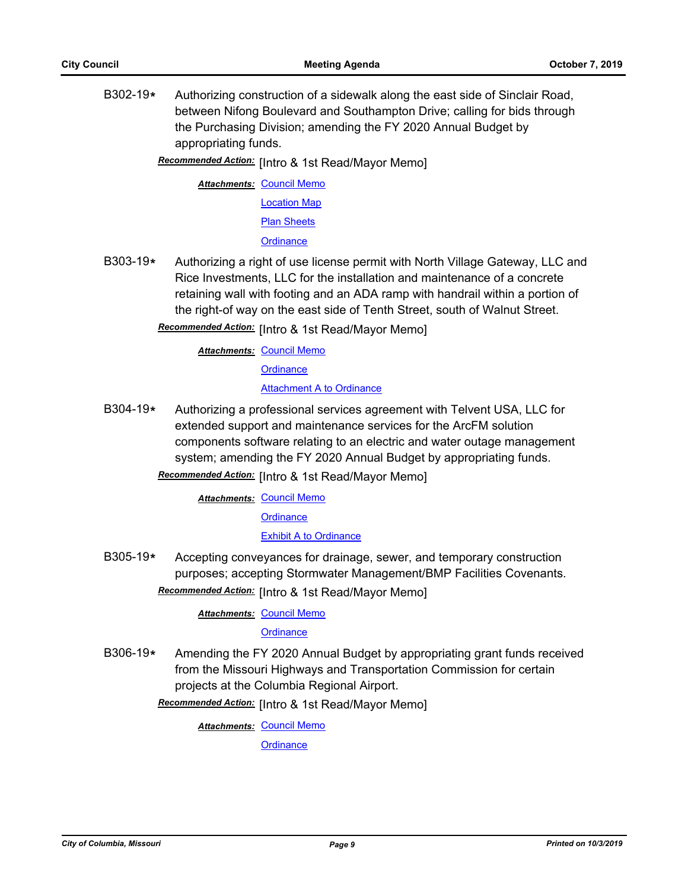B302-19**\*** Authorizing construction of a sidewalk along the east side of Sinclair Road, between Nifong Boulevard and Southampton Drive; calling for bids through the Purchasing Division; amending the FY 2020 Annual Budget by appropriating funds.

Recommended Action: [Intro & 1st Read/Mayor Memo]

**Attachments: [Council Memo](http://gocolumbiamo.legistar.com/gateway.aspx?M=F&ID=162d7b51-0c0f-4f84-82d5-1399317aecf6.docx)** [Location Map](http://gocolumbiamo.legistar.com/gateway.aspx?M=F&ID=f3c9acb8-36ea-4a96-ab1e-0b69aaed44bd.pdf) [Plan Sheets](http://gocolumbiamo.legistar.com/gateway.aspx?M=F&ID=fe9db1b2-f5f6-4cd0-9fcc-1d34a930e530.pdf) **[Ordinance](http://gocolumbiamo.legistar.com/gateway.aspx?M=F&ID=f32967e7-3d87-4f69-b9eb-27b2f4b1b6ad.doc)** 

B303-19**\*** Authorizing a right of use license permit with North Village Gateway, LLC and Rice Investments, LLC for the installation and maintenance of a concrete retaining wall with footing and an ADA ramp with handrail within a portion of the right-of way on the east side of Tenth Street, south of Walnut Street.

Recommended Action: [Intro & 1st Read/Mayor Memo]

**Attachments: [Council Memo](http://gocolumbiamo.legistar.com/gateway.aspx?M=F&ID=db2b8f8f-d0a5-420a-9e06-4167021a1558.docx) [Ordinance](http://gocolumbiamo.legistar.com/gateway.aspx?M=F&ID=7ff5a6d7-ce0f-4f1b-90d5-b4a2a6ed443b.doc)** [Attachment A to Ordinance](http://gocolumbiamo.legistar.com/gateway.aspx?M=F&ID=5729ca93-753a-49fe-be1b-e87bfaf83345.pdf)

B304-19**\*** Authorizing a professional services agreement with Telvent USA, LLC for extended support and maintenance services for the ArcFM solution components software relating to an electric and water outage management system; amending the FY 2020 Annual Budget by appropriating funds.

**Recommended Action:** [Intro & 1st Read/Mayor Memo]

**Attachments: [Council Memo](http://gocolumbiamo.legistar.com/gateway.aspx?M=F&ID=35909997-35d6-415a-a4cc-a73fe054b6b9.docx)** 

**[Ordinance](http://gocolumbiamo.legistar.com/gateway.aspx?M=F&ID=0d1e6d84-d9fa-4c93-8285-8b5f6ade9950.doc)** 

[Exhibit A to Ordinance](http://gocolumbiamo.legistar.com/gateway.aspx?M=F&ID=f2c444f7-ccc9-474b-aa79-4efa4afd1509.pdf)

B305-19**\*** Accepting conveyances for drainage, sewer, and temporary construction purposes; accepting Stormwater Management/BMP Facilities Covenants.

Recommended Action: [Intro & 1st Read/Mayor Memo]

**Attachments: [Council Memo](http://gocolumbiamo.legistar.com/gateway.aspx?M=F&ID=adcc44ab-133f-4b39-b1f1-e5fb674cd8e4.docx)** 

**[Ordinance](http://gocolumbiamo.legistar.com/gateway.aspx?M=F&ID=33492155-0a8c-4cb6-8717-2b4e23d4e077.doc)** 

B306-19**\*** Amending the FY 2020 Annual Budget by appropriating grant funds received from the Missouri Highways and Transportation Commission for certain projects at the Columbia Regional Airport.

**Recommended Action:** [Intro & 1st Read/Mayor Memo]

**Attachments: [Council Memo](http://gocolumbiamo.legistar.com/gateway.aspx?M=F&ID=2546949a-e93a-4a8c-b66f-1d7ae2e20eab.docx)** 

**[Ordinance](http://gocolumbiamo.legistar.com/gateway.aspx?M=F&ID=c77a7e6a-ec34-4455-bfb6-1985b9dabcb8.doc)**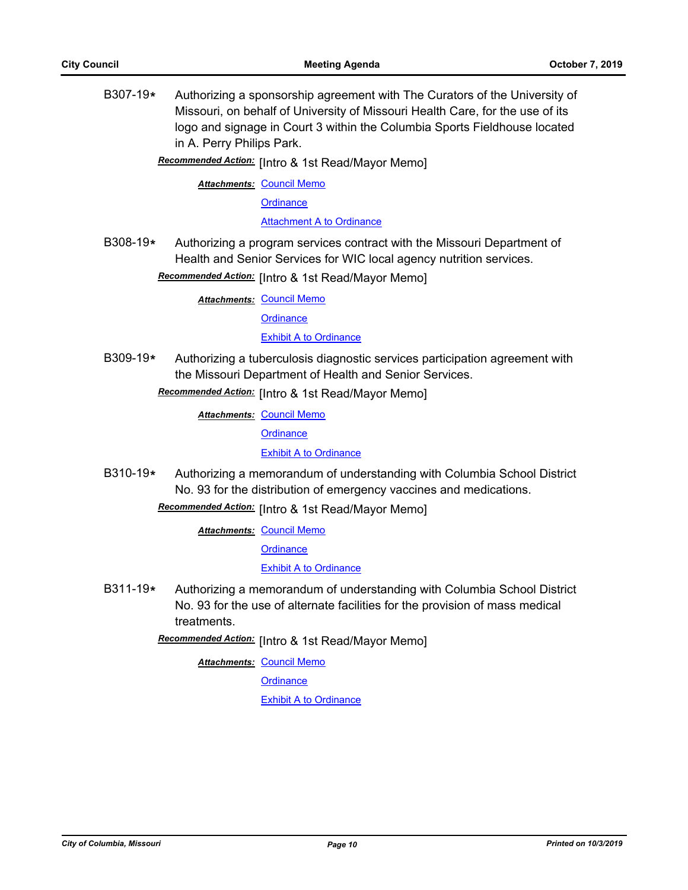B307-19**\*** Authorizing a sponsorship agreement with The Curators of the University of Missouri, on behalf of University of Missouri Health Care, for the use of its logo and signage in Court 3 within the Columbia Sports Fieldhouse located in A. Perry Philips Park.

Recommended Action: [Intro & 1st Read/Mayor Memo]

**Attachments: [Council Memo](http://gocolumbiamo.legistar.com/gateway.aspx?M=F&ID=c6c659f6-a904-4028-81e5-5982317c32c3.docx)** 

**[Ordinance](http://gocolumbiamo.legistar.com/gateway.aspx?M=F&ID=1d1aa2c6-5ef5-4a50-a786-8e74aa0562ef.doc)** 

[Attachment A to Ordinance](http://gocolumbiamo.legistar.com/gateway.aspx?M=F&ID=a7b857b4-ce51-45dd-9d6a-9eed36d4455b.pdf)

B308-19**\*** Authorizing a program services contract with the Missouri Department of Health and Senior Services for WIC local agency nutrition services.

Recommended Action: [Intro & 1st Read/Mayor Memo]

**Attachments: [Council Memo](http://gocolumbiamo.legistar.com/gateway.aspx?M=F&ID=9b086631-61da-4744-b354-f277cfc442d2.docx)** 

**[Ordinance](http://gocolumbiamo.legistar.com/gateway.aspx?M=F&ID=4896603f-048e-4b4b-80e9-018910090620.doc)** 

**[Exhibit A to Ordinance](http://gocolumbiamo.legistar.com/gateway.aspx?M=F&ID=e6905ddb-d439-4e31-bf41-ae650888f4ad.pdf)** 

B309-19**\*** Authorizing a tuberculosis diagnostic services participation agreement with the Missouri Department of Health and Senior Services.

Recommended Action: [Intro & 1st Read/Mayor Memo]

**Attachments: [Council Memo](http://gocolumbiamo.legistar.com/gateway.aspx?M=F&ID=af2d572f-6007-4341-93b6-b9d2156ae93b.docx)** 

**[Ordinance](http://gocolumbiamo.legistar.com/gateway.aspx?M=F&ID=7cea2b37-76b3-497f-8c9f-8d5dcb24c507.doc)** 

[Exhibit A to Ordinance](http://gocolumbiamo.legistar.com/gateway.aspx?M=F&ID=38b8341f-530f-40c5-81a9-d47631cae4ae.pdf)

B310-19**\*** Authorizing a memorandum of understanding with Columbia School District No. 93 for the distribution of emergency vaccines and medications.

**Recommended Action:** [Intro & 1st Read/Mayor Memo]

**Attachments: [Council Memo](http://gocolumbiamo.legistar.com/gateway.aspx?M=F&ID=56a00e87-704d-459f-aa0c-0427af836e4e.docx)** 

**[Ordinance](http://gocolumbiamo.legistar.com/gateway.aspx?M=F&ID=b603bda3-ade6-4333-a664-759f22c56894.doc)** 

[Exhibit A to Ordinance](http://gocolumbiamo.legistar.com/gateway.aspx?M=F&ID=8e6f9838-1064-40d7-8c4f-d0c5c17ec4bd.pdf)

B311-19**\*** Authorizing a memorandum of understanding with Columbia School District No. 93 for the use of alternate facilities for the provision of mass medical **treatments** 

**Recommended Action:** [Intro & 1st Read/Mayor Memo]

**Attachments: [Council Memo](http://gocolumbiamo.legistar.com/gateway.aspx?M=F&ID=4ca7217b-a5ef-490d-9edc-af44d6de2d08.docx)** 

**[Ordinance](http://gocolumbiamo.legistar.com/gateway.aspx?M=F&ID=6968a6e0-c7cd-4ff6-9597-0ddee36051ea.doc)** 

[Exhibit A to Ordinance](http://gocolumbiamo.legistar.com/gateway.aspx?M=F&ID=646d3380-92f0-425c-841d-6f87b2960745.pdf)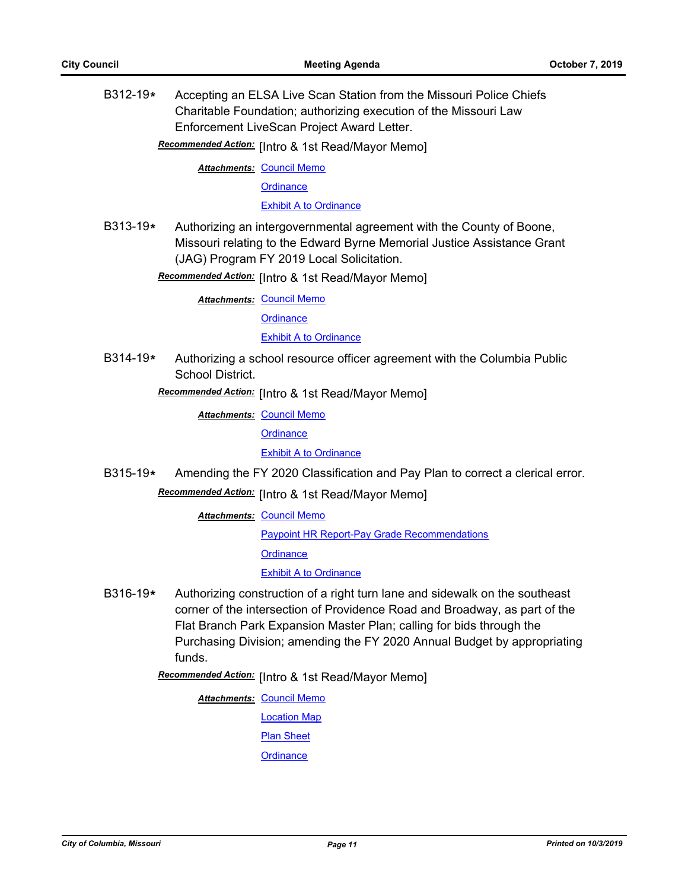B312-19**\*** Accepting an ELSA Live Scan Station from the Missouri Police Chiefs Charitable Foundation; authorizing execution of the Missouri Law Enforcement LiveScan Project Award Letter.

**Recommended Action:** [Intro & 1st Read/Mayor Memo]

**Attachments: [Council Memo](http://gocolumbiamo.legistar.com/gateway.aspx?M=F&ID=bb36d9cd-608b-46a3-b662-5ede35b7526e.docx)** 

**[Ordinance](http://gocolumbiamo.legistar.com/gateway.aspx?M=F&ID=87a522f0-7bc1-4242-988c-24f945b94673.doc)** 

[Exhibit A to Ordinance](http://gocolumbiamo.legistar.com/gateway.aspx?M=F&ID=e86c752d-e347-499f-8048-898f3b9a8f2d.pdf)

B313-19**\*** Authorizing an intergovernmental agreement with the County of Boone, Missouri relating to the Edward Byrne Memorial Justice Assistance Grant (JAG) Program FY 2019 Local Solicitation.

Recommended Action: [Intro & 1st Read/Mayor Memo]

**Attachments: [Council Memo](http://gocolumbiamo.legistar.com/gateway.aspx?M=F&ID=923adc73-36a5-447f-84e4-c4855368bf79.docx)** 

**[Ordinance](http://gocolumbiamo.legistar.com/gateway.aspx?M=F&ID=39f8618a-7772-4f8e-8b9e-e3655a3a8137.doc)** 

**[Exhibit A to Ordinance](http://gocolumbiamo.legistar.com/gateway.aspx?M=F&ID=aa819ef7-a30c-482c-af8b-5e2afb5951e9.pdf)** 

B314-19**\*** Authorizing a school resource officer agreement with the Columbia Public School District.

Recommended Action: [Intro & 1st Read/Mayor Memo]

**Attachments: [Council Memo](http://gocolumbiamo.legistar.com/gateway.aspx?M=F&ID=c9e581d0-ca41-4310-85f8-a4177cbef704.docx)** 

**[Ordinance](http://gocolumbiamo.legistar.com/gateway.aspx?M=F&ID=d3ff6bfc-32f5-4779-b4ca-f94a7b4823de.doc)** 

[Exhibit A to Ordinance](http://gocolumbiamo.legistar.com/gateway.aspx?M=F&ID=c299eb19-6823-459a-85a8-e2807bbc57ef.pdf)

B315-19**\*** Amending the FY 2020 Classification and Pay Plan to correct a clerical error.

Recommended Action: [Intro & 1st Read/Mayor Memo]

**Attachments: [Council Memo](http://gocolumbiamo.legistar.com/gateway.aspx?M=F&ID=2b24b8a4-bffd-478d-9d7f-0c7e510a52fd.docx)** 

[Paypoint HR Report-Pay Grade Recommendations](http://gocolumbiamo.legistar.com/gateway.aspx?M=F&ID=36aa1799-9d85-41a1-bc0b-5370f7754334.pdf)

**[Ordinance](http://gocolumbiamo.legistar.com/gateway.aspx?M=F&ID=5ad886db-2251-409c-b5f6-3af98c184b64.doc)** 

[Exhibit A to Ordinance](http://gocolumbiamo.legistar.com/gateway.aspx?M=F&ID=ef0c5551-85d1-495f-a87e-c8d641cd526f.pdf)

B316-19**\*** Authorizing construction of a right turn lane and sidewalk on the southeast corner of the intersection of Providence Road and Broadway, as part of the Flat Branch Park Expansion Master Plan; calling for bids through the Purchasing Division; amending the FY 2020 Annual Budget by appropriating funds.

Recommended Action: [Intro & 1st Read/Mayor Memo]

**Attachments: [Council Memo](http://gocolumbiamo.legistar.com/gateway.aspx?M=F&ID=2755b353-1c01-4def-afb2-c4004610e084.docx)** 

[Location Map](http://gocolumbiamo.legistar.com/gateway.aspx?M=F&ID=848f12d6-21c3-4610-82bf-0dd99716c52e.pdf)

[Plan Sheet](http://gocolumbiamo.legistar.com/gateway.aspx?M=F&ID=459d3dc2-dc14-4330-8686-90b30a7a3c96.pdf)

**[Ordinance](http://gocolumbiamo.legistar.com/gateway.aspx?M=F&ID=e011f176-6e4e-4499-8da5-b8adca641240.doc)**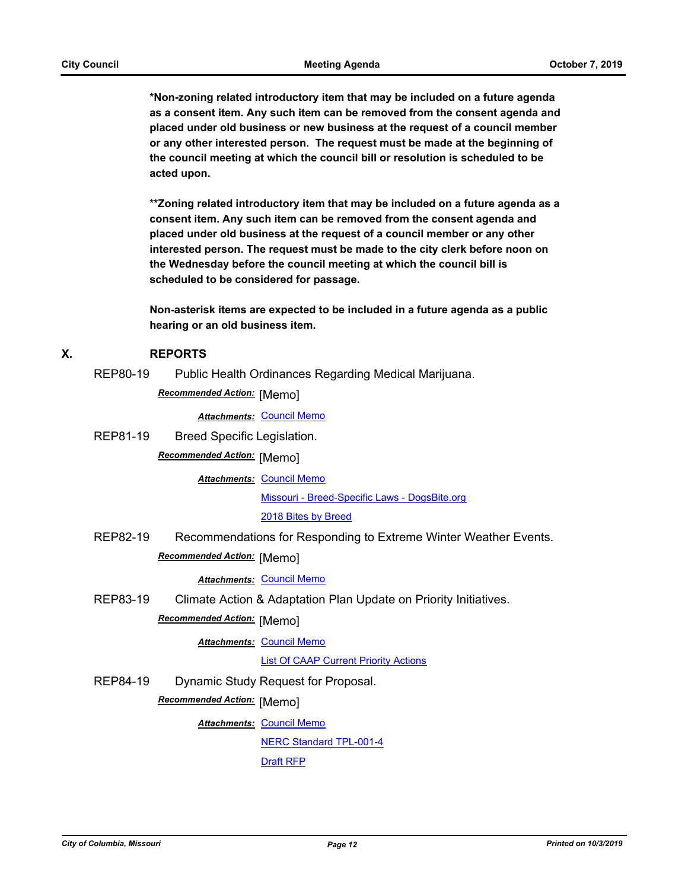**\*Non-zoning related introductory item that may be included on a future agenda as a consent item. Any such item can be removed from the consent agenda and placed under old business or new business at the request of a council member or any other interested person. The request must be made at the beginning of the council meeting at which the council bill or resolution is scheduled to be acted upon.** 

**\*\*Zoning related introductory item that may be included on a future agenda as a consent item. Any such item can be removed from the consent agenda and placed under old business at the request of a council member or any other interested person. The request must be made to the city clerk before noon on the Wednesday before the council meeting at which the council bill is scheduled to be considered for passage.**

**Non-asterisk items are expected to be included in a future agenda as a public hearing or an old business item.**

#### **X. REPORTS**

REP80-19 Public Health Ordinances Regarding Medical Marijuana.

**Recommended Action:** [Memo]

*Attachments:* [Council Memo](http://gocolumbiamo.legistar.com/gateway.aspx?M=F&ID=0c56c6ec-9581-4b4c-9975-97b6a4308de6.docx)

REP81-19 Breed Specific Legislation. **Recommended Action:** [Memo]

**Attachments: [Council Memo](http://gocolumbiamo.legistar.com/gateway.aspx?M=F&ID=8ca75b6f-85e6-42c8-a966-c7d8299504d8.docx)** 

[Missouri - Breed-Specific Laws - DogsBite.org](http://gocolumbiamo.legistar.com/gateway.aspx?M=F&ID=86f6cdad-1274-4ec8-a776-bd923b324ee1.pdf)

[2018 Bites by Breed](http://gocolumbiamo.legistar.com/gateway.aspx?M=F&ID=dfdd4469-156e-44ff-aff2-d6c73cffaa7d.docx)

REP82-19 Recommendations for Responding to Extreme Winter Weather Events.

# **Recommended Action:** [Memo]

#### *Attachments:* [Council Memo](http://gocolumbiamo.legistar.com/gateway.aspx?M=F&ID=80ad6804-1399-4704-b04e-39c8a0b69a71.docx)

REP83-19 Climate Action & Adaptation Plan Update on Priority Initiatives.

**Recommended Action: [Memo]** 

**Attachments: [Council Memo](http://gocolumbiamo.legistar.com/gateway.aspx?M=F&ID=887e3abc-2168-4b03-b0e3-bbdaaaad2fd4.docx)** 

[List Of CAAP Current Priority Actions](http://gocolumbiamo.legistar.com/gateway.aspx?M=F&ID=4f59ac3a-6f4f-4d94-b5f7-7570d3f56118.docx)

REP84-19 Dynamic Study Request for Proposal.

**Recommended Action: [Memo]** 

**Attachments: [Council Memo](http://gocolumbiamo.legistar.com/gateway.aspx?M=F&ID=22a96153-9c92-4f6c-a66b-6596df7aa26c.docx)** [NERC Standard TPL-001-4](http://gocolumbiamo.legistar.com/gateway.aspx?M=F&ID=bb6e3e63-6121-4794-bf16-9d04819dbf0d.pdf) [Draft RFP](http://gocolumbiamo.legistar.com/gateway.aspx?M=F&ID=9ca657fd-05e1-4b69-a12b-418ae3205831.pdf)